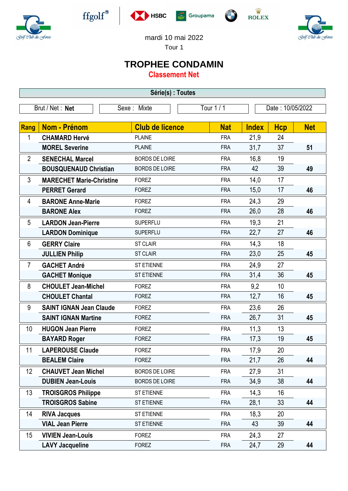



 $\operatorname{ffgolf}^{\circledast}$ 







mardi 10 mai 2022

Tour 1

## **TROPHEE CONDAMIN**

**Classement Net**

| Série(s) : Toutes |                                 |                        |            |              |                  |            |  |
|-------------------|---------------------------------|------------------------|------------|--------------|------------------|------------|--|
|                   | Brut / Net: Net<br>Sexe: Mixte  |                        | Tour 1 / 1 |              | Date: 10/05/2022 |            |  |
| Rang              | Nom - Prénom                    | <b>Club de licence</b> | <b>Nat</b> | <b>Index</b> |                  | <b>Net</b> |  |
| 1                 | <b>CHAMARD Hervé</b>            | <b>PLAINE</b>          | <b>FRA</b> | 21,9         | <b>Hcp</b><br>24 |            |  |
|                   | <b>MOREL Severine</b>           | <b>PLAINE</b>          | <b>FRA</b> | 31,7         | 37               | 51         |  |
| $\overline{2}$    | <b>SENECHAL Marcel</b>          | <b>BORDS DE LOIRE</b>  | <b>FRA</b> | 16,8         | 19               |            |  |
|                   | <b>BOUSQUENAUD Christian</b>    | <b>BORDS DE LOIRE</b>  | <b>FRA</b> | 42           | 39               | 49         |  |
| 3                 | <b>MARECHET Marie-Christine</b> | <b>FOREZ</b>           | <b>FRA</b> | 14,0         | 17               |            |  |
|                   | <b>PERRET Gerard</b>            | <b>FOREZ</b>           | <b>FRA</b> | 15,0         | 17               | 46         |  |
| 4                 | <b>BARONE Anne-Marie</b>        | <b>FOREZ</b>           | <b>FRA</b> | 24,3         | 29               |            |  |
|                   | <b>BARONE Alex</b>              | <b>FOREZ</b>           | <b>FRA</b> | 26,0         | 28               | 46         |  |
| 5                 | <b>LARDON Jean-Pierre</b>       | <b>SUPERFLU</b>        | <b>FRA</b> | 19,3         | 21               |            |  |
|                   | <b>LARDON Dominique</b>         | <b>SUPERFLU</b>        | <b>FRA</b> | 22,7         | 27               | 46         |  |
| 6                 | <b>GERRY Claire</b>             | <b>ST CLAIR</b>        | <b>FRA</b> | 14,3         | 18               |            |  |
|                   | <b>JULLIEN Philip</b>           | <b>ST CLAIR</b>        | <b>FRA</b> | 23,0         | 25               | 45         |  |
| $\overline{7}$    | <b>GACHET André</b>             | ST ETIENNE             | <b>FRA</b> | 24,9         | 27               |            |  |
|                   | <b>GACHET Monique</b>           | ST ETIENNE             | <b>FRA</b> | 31,4         | 36               | 45         |  |
| 8                 | <b>CHOULET Jean-Michel</b>      | <b>FOREZ</b>           | <b>FRA</b> | 9,2          | 10               |            |  |
|                   | <b>CHOULET Chantal</b>          | <b>FOREZ</b>           | <b>FRA</b> | 12,7         | 16               | 45         |  |
| 9                 | <b>SAINT IGNAN Jean Claude</b>  | <b>FOREZ</b>           | <b>FRA</b> | 23,6         | 26               |            |  |
|                   | <b>SAINT IGNAN Martine</b>      | <b>FOREZ</b>           | <b>FRA</b> | 26,7         | 31               | 45         |  |
| 10                | <b>HUGON Jean Pierre</b>        | <b>FOREZ</b>           | <b>FRA</b> | 11,3         | 13               |            |  |
|                   | <b>BAYARD Roger</b>             | <b>FOREZ</b>           | <b>FRA</b> | 17,3         | 19               | 45         |  |
| 11                | <b>LAPEROUSE Claude</b>         | <b>FOREZ</b>           | <b>FRA</b> | 17,9         | 20               |            |  |
|                   | <b>BEALEM Claire</b>            | <b>FOREZ</b>           | <b>FRA</b> | 21,7         | 26               | 44         |  |
| 12                | <b>CHAUVET Jean Michel</b>      | <b>BORDS DE LOIRE</b>  | <b>FRA</b> | 27,9         | 31               |            |  |
|                   | <b>DUBIEN Jean-Louis</b>        | <b>BORDS DE LOIRE</b>  | <b>FRA</b> | 34,9         | 38               | 44         |  |
| 13                | <b>TROISGROS Philippe</b>       | ST ETIENNE             | <b>FRA</b> | 14,3         | 16               |            |  |
|                   | <b>TROISGROS Sabine</b>         | ST ETIENNE             | <b>FRA</b> | 28,1         | 33               | 44         |  |
| 14                | <b>RIVA Jacques</b>             | <b>ST ETIENNE</b>      | <b>FRA</b> | 18,3         | 20               |            |  |
|                   | <b>VIAL Jean Pierre</b>         | <b>ST ETIENNE</b>      | <b>FRA</b> | 43           | 39               | 44         |  |
| 15                | <b>VIVIEN Jean-Louis</b>        | <b>FOREZ</b>           | <b>FRA</b> | 24,3         | 27               |            |  |
|                   | <b>LAVY Jacqueline</b>          | <b>FOREZ</b>           | <b>FRA</b> | 24,7         | 29               | 44         |  |
|                   |                                 |                        |            |              |                  |            |  |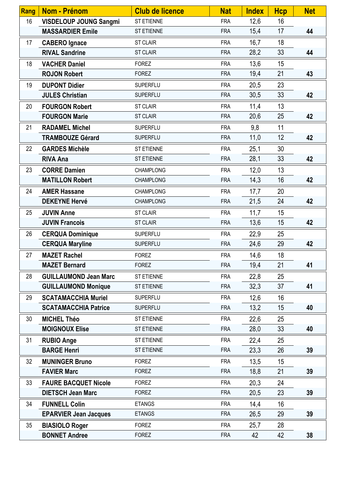| <b>Rang</b> | Nom - Prénom                  | <b>Club de licence</b> | <b>Nat</b> | <b>Index</b> | <b>Hcp</b> | <b>Net</b> |
|-------------|-------------------------------|------------------------|------------|--------------|------------|------------|
| 16          | <b>VISDELOUP JOUNG Sangmi</b> | <b>ST ETIENNE</b>      | <b>FRA</b> | 12,6         | 16         |            |
|             | <b>MASSARDIER Emile</b>       | ST ETIENNE             | <b>FRA</b> | 15,4         | 17         | 44         |
| 17          | <b>CABERO</b> Ignace          | <b>ST CLAIR</b>        | <b>FRA</b> | 16,7         | 18         |            |
|             | <b>RIVAL Sandrine</b>         | <b>ST CLAIR</b>        | <b>FRA</b> | 28,2         | 33         | 44         |
| 18          | <b>VACHER Daniel</b>          | <b>FOREZ</b>           | <b>FRA</b> | 13,6         | 15         |            |
|             | <b>ROJON Robert</b>           | <b>FOREZ</b>           | <b>FRA</b> | 19,4         | 21         | 43         |
| 19          | <b>DUPONT Didier</b>          | <b>SUPERFLU</b>        | <b>FRA</b> | 20,5         | 23         |            |
|             | <b>JULES Christian</b>        | <b>SUPERFLU</b>        | <b>FRA</b> | 30,5         | 33         | 42         |
| 20          | <b>FOURGON Robert</b>         | <b>ST CLAIR</b>        | <b>FRA</b> | 11,4         | 13         |            |
|             | <b>FOURGON Marie</b>          | <b>ST CLAIR</b>        | <b>FRA</b> | 20,6         | 25         | 42         |
| 21          | <b>RADAMEL Michel</b>         | <b>SUPERFLU</b>        | <b>FRA</b> | 9,8          | 11         |            |
|             | <b>TRAMBOUZE Gérard</b>       | SUPERFLU               | <b>FRA</b> | 11,0         | 12         | 42         |
| 22          | <b>GARDES Michèle</b>         | <b>ST ETIENNE</b>      | <b>FRA</b> | 25,1         | 30         |            |
|             | <b>RIVA Ana</b>               | ST ETIENNE             | <b>FRA</b> | 28,1         | 33         | 42         |
| 23          | <b>CORRE Damien</b>           | <b>CHAMPLONG</b>       | <b>FRA</b> | 12,0         | 13         |            |
|             | <b>MATILLON Robert</b>        | <b>CHAMPLONG</b>       | <b>FRA</b> | 14,3         | 16         | 42         |
| 24          | <b>AMER Hassane</b>           | <b>CHAMPLONG</b>       | <b>FRA</b> | 17,7         | 20         |            |
|             | <b>DEKEYNE Hervé</b>          | <b>CHAMPLONG</b>       | <b>FRA</b> | 21,5         | 24         | 42         |
| 25          | <b>JUVIN Anne</b>             | <b>ST CLAIR</b>        | <b>FRA</b> | 11,7         | 15         |            |
|             | <b>JUVIN Francois</b>         | <b>ST CLAIR</b>        | <b>FRA</b> | 13,6         | 15         | 42         |
| 26          | <b>CERQUA Dominique</b>       | <b>SUPERFLU</b>        | <b>FRA</b> | 22,9         | 25         |            |
|             | <b>CERQUA Maryline</b>        | <b>SUPERFLU</b>        | <b>FRA</b> | 24,6         | 29         | 42         |
| 27          | <b>MAZET Rachel</b>           | <b>FOREZ</b>           | <b>FRA</b> | 14,6         | 18         |            |
|             | <b>MAZET Bernard</b>          | <b>FOREZ</b>           | <b>FRA</b> | 19,4         | 21         | 41         |
| 28          | <b>GUILLAUMOND Jean Marc</b>  | <b>ST ETIENNE</b>      | <b>FRA</b> | 22,8         | 25         |            |
|             | <b>GUILLAUMOND Monique</b>    | ST ETIENNE             | <b>FRA</b> | 32,3         | 37         | 41         |
| 29          | <b>SCATAMACCHIA Muriel</b>    | <b>SUPERFLU</b>        | <b>FRA</b> | 12,6         | 16         |            |
|             | <b>SCATAMACCHIA Patrice</b>   | <b>SUPERFLU</b>        | <b>FRA</b> | 13,2         | 15         | 40         |
| 30          | <b>MICHEL Théo</b>            | ST ETIENNE             | <b>FRA</b> | 22,6         | 25         |            |
|             | <b>MOIGNOUX Elise</b>         | ST ETIENNE             | <b>FRA</b> | 28,0         | 33         | 40         |
| 31          | <b>RUBIO Ange</b>             | ST ETIENNE             | <b>FRA</b> | 22,4         | 25         |            |
|             | <b>BARGE Henri</b>            | ST ETIENNE             | <b>FRA</b> | 23,3         | 26         | 39         |
| 32          | <b>MUNINGER Bruno</b>         | <b>FOREZ</b>           | <b>FRA</b> | 13,5         | 15         |            |
|             | <b>FAVIER Marc</b>            | <b>FOREZ</b>           | <b>FRA</b> | 18,8         | 21         | 39         |
| 33          | <b>FAURE BACQUET Nicole</b>   | <b>FOREZ</b>           | <b>FRA</b> | 20,3         | 24         |            |
|             | <b>DIETSCH Jean Marc</b>      | <b>FOREZ</b>           | <b>FRA</b> | 20,5         | 23         | 39         |
| 34          | <b>FUNNELL Colin</b>          | <b>ETANGS</b>          | <b>FRA</b> | 14,4         | 16         |            |
|             | <b>EPARVIER Jean Jacques</b>  | <b>ETANGS</b>          | <b>FRA</b> | 26,5         | 29         | 39         |
| 35          | <b>BIASIOLO Roger</b>         | <b>FOREZ</b>           | <b>FRA</b> | 25,7         | 28         |            |
|             | <b>BONNET Andree</b>          | <b>FOREZ</b>           | <b>FRA</b> | 42           | 42         | 38         |